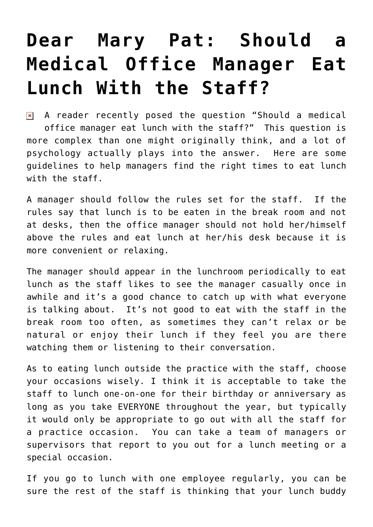## **[Dear Mary Pat: Should a](https://managemypractice.com/dear-mary-pat-should-a-medical-office-manager-eat-lunch-with-the-staff/) [Medical Office Manager Eat](https://managemypractice.com/dear-mary-pat-should-a-medical-office-manager-eat-lunch-with-the-staff/) [Lunch With the Staff?](https://managemypractice.com/dear-mary-pat-should-a-medical-office-manager-eat-lunch-with-the-staff/)**

 $\overline{\mathbf{a}}$  A reader recently posed the question "Should a medical office manager eat lunch with the staff?" This question is more complex than one might originally think, and a lot of psychology actually plays into the answer. Here are some guidelines to help managers find the right times to eat lunch with the staff.

A manager should follow the rules set for the staff. If the rules say that lunch is to be eaten in the break room and not at desks, then the office manager should not hold her/himself above the rules and eat lunch at her/his desk because it is more convenient or relaxing.

The manager should appear in the lunchroom periodically to eat lunch as the staff likes to see the manager casually once in awhile and it's a good chance to catch up with what everyone is talking about. It's not good to eat with the staff in the break room too often, as sometimes they can't relax or be natural or enjoy their lunch if they feel you are there watching them or listening to their conversation.

As to eating lunch outside the practice with the staff, choose your occasions wisely. I think it is acceptable to take the staff to lunch one-on-one for their birthday or anniversary as long as you take EVERYONE throughout the year, but typically it would only be appropriate to go out with all the staff for a practice occasion. You can take a team of managers or supervisors that report to you out for a lunch meeting or a special occasion.

If you go to lunch with one employee regularly, you can be sure the rest of the staff is thinking that your lunch buddy